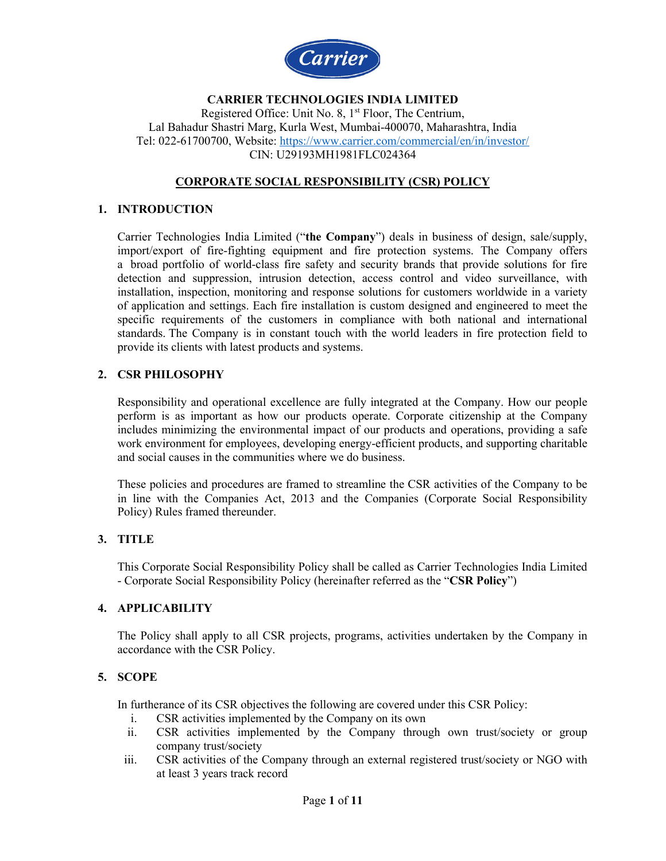

#### **CARRIER TECHNOLOGIES INDIA LIMITED**  Registered Office: Unit No. 8, 1st Floor, The Centrium, Lal Bahadur Shastri Marg, Kurla West, Mumbai-400070, Maharashtra, India Tel: 022-61700700, Website:<https://www.carrier.com/commercial/en/in/investor/> CIN: U29193MH1981FLC024364

## **CORPORATE SOCIAL RESPONSIBILITY (CSR) POLICY**

### **1. INTRODUCTION**

Carrier Technologies India Limited ("**the Company**") deals in business of design, sale/supply, import/export of fire-fighting equipment and fire protection systems. The Company offers a broad portfolio of world-class fire safety and security brands that provide solutions for fire detection and suppression, intrusion detection, access control and video surveillance, with installation, inspection, monitoring and response solutions for customers worldwide in a variety of application and settings. Each fire installation is custom designed and engineered to meet the specific requirements of the customers in compliance with both national and international standards. The Company is in constant touch with the world leaders in fire protection field to provide its clients with latest products and systems.

### **2. CSR PHILOSOPHY**

Responsibility and operational excellence are fully integrated at the Company. How our people perform is as important as how our products operate. Corporate citizenship at the Company includes minimizing the environmental impact of our products and operations, providing a safe work environment for employees, developing energy-efficient products, and supporting charitable and social causes in the communities where we do business.

These policies and procedures are framed to streamline the CSR activities of the Company to be in line with the Companies Act, 2013 and the Companies (Corporate Social Responsibility Policy) Rules framed thereunder.

# **3. TITLE**

This Corporate Social Responsibility Policy shall be called as Carrier Technologies India Limited - Corporate Social Responsibility Policy (hereinafter referred as the "**CSR Policy**")

#### **4. APPLICABILITY**

The Policy shall apply to all CSR projects, programs, activities undertaken by the Company in accordance with the CSR Policy.

## **5. SCOPE**

In furtherance of its CSR objectives the following are covered under this CSR Policy:

- i. CSR activities implemented by the Company on its own
- ii. CSR activities implemented by the Company through own trust/society or group company trust/society
- iii. CSR activities of the Company through an external registered trust/society or NGO with at least 3 years track record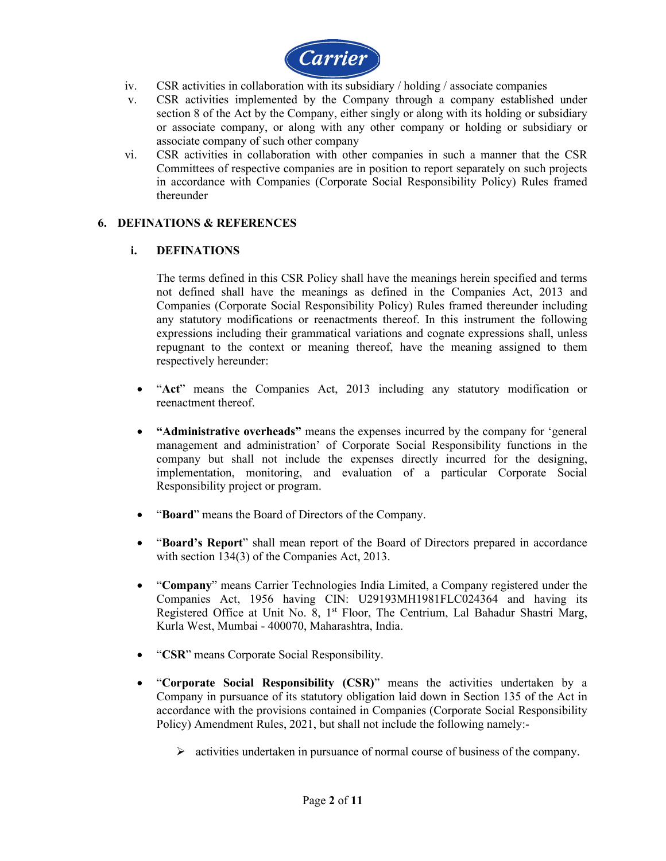

- iv. CSR activities in collaboration with its subsidiary / holding / associate companies
- v. CSR activities implemented by the Company through a company established under section 8 of the Act by the Company, either singly or along with its holding or subsidiary or associate company, or along with any other company or holding or subsidiary or associate company of such other company
- vi. CSR activities in collaboration with other companies in such a manner that the CSR Committees of respective companies are in position to report separately on such projects in accordance with Companies (Corporate Social Responsibility Policy) Rules framed thereunder

### **6. DEFINATIONS & REFERENCES**

### **i. DEFINATIONS**

The terms defined in this CSR Policy shall have the meanings herein specified and terms not defined shall have the meanings as defined in the Companies Act, 2013 and Companies (Corporate Social Responsibility Policy) Rules framed thereunder including any statutory modifications or reenactments thereof. In this instrument the following expressions including their grammatical variations and cognate expressions shall, unless repugnant to the context or meaning thereof, have the meaning assigned to them respectively hereunder:

- "**Act**" means the Companies Act, 2013 including any statutory modification or reenactment thereof.
- **"Administrative overheads"** means the expenses incurred by the company for 'general management and administration' of Corporate Social Responsibility functions in the company but shall not include the expenses directly incurred for the designing, implementation, monitoring, and evaluation of a particular Corporate Social Responsibility project or program.
- "**Board**" means the Board of Directors of the Company.
- "**Board's Report**" shall mean report of the Board of Directors prepared in accordance with section 134(3) of the Companies Act, 2013.
- "**Company**" means Carrier Technologies India Limited, a Company registered under the Companies Act, 1956 having CIN: U29193MH1981FLC024364 and having its Registered Office at Unit No. 8, 1<sup>st</sup> Floor, The Centrium, Lal Bahadur Shastri Marg, Kurla West, Mumbai - 400070, Maharashtra, India.
- "**CSR**" means Corporate Social Responsibility.
- "**Corporate Social Responsibility (CSR)**" means the activities undertaken by a Company in pursuance of its statutory obligation laid down in Section 135 of the Act in accordance with the provisions contained in Companies (Corporate Social Responsibility Policy) Amendment Rules, 2021, but shall not include the following namely:-
	- $\triangleright$  activities undertaken in pursuance of normal course of business of the company.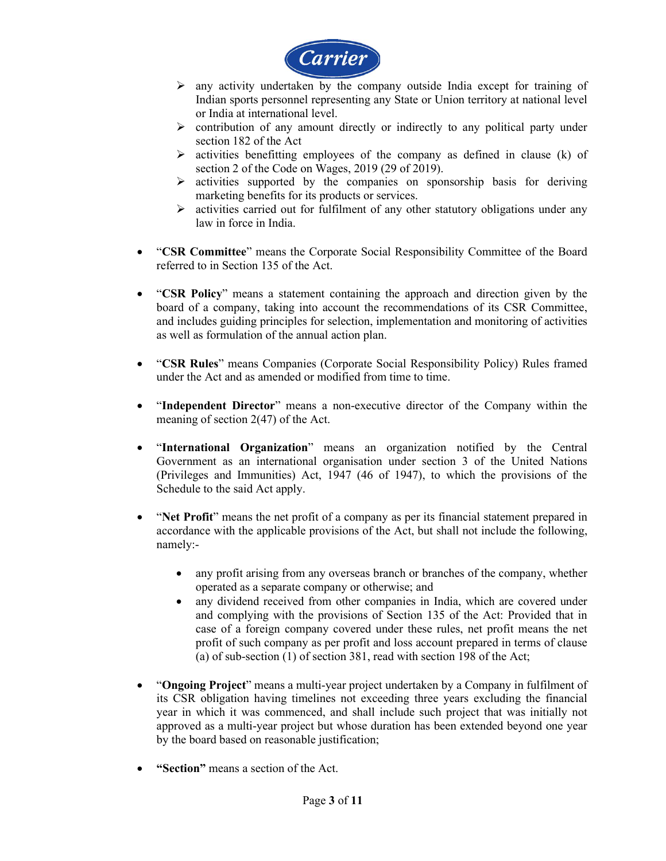

- $\triangleright$  any activity undertaken by the company outside India except for training of Indian sports personnel representing any State or Union territory at national level or India at international level.
- $\triangleright$  contribution of any amount directly or indirectly to any political party under section 182 of the Act
- $\triangleright$  activities benefitting employees of the company as defined in clause (k) of section 2 of the Code on Wages, 2019 (29 of 2019).
- $\triangleright$  activities supported by the companies on sponsorship basis for deriving marketing benefits for its products or services.
- $\triangleright$  activities carried out for fulfilment of any other statutory obligations under any law in force in India.
- "**CSR Committee**" means the Corporate Social Responsibility Committee of the Board referred to in Section 135 of the Act.
- "**CSR Policy**" means a statement containing the approach and direction given by the board of a company, taking into account the recommendations of its CSR Committee, and includes guiding principles for selection, implementation and monitoring of activities as well as formulation of the annual action plan.
- "**CSR Rules**" means Companies (Corporate Social Responsibility Policy) Rules framed under the Act and as amended or modified from time to time.
- "**Independent Director**" means a non-executive director of the Company within the meaning of section 2(47) of the Act.
- "**International Organization**" means an organization notified by the Central Government as an international organisation under section 3 of the United Nations (Privileges and Immunities) Act, 1947 (46 of 1947), to which the provisions of the Schedule to the said Act apply.
- "**Net Profit**" means the net profit of a company as per its financial statement prepared in accordance with the applicable provisions of the Act, but shall not include the following, namely:
	- any profit arising from any overseas branch or branches of the company, whether operated as a separate company or otherwise; and
	- any dividend received from other companies in India, which are covered under and complying with the provisions of Section 135 of the Act: Provided that in case of a foreign company covered under these rules, net profit means the net profit of such company as per profit and loss account prepared in terms of clause (a) of sub-section (1) of section 381, read with section 198 of the Act;
- "**Ongoing Project**" means a multi-year project undertaken by a Company in fulfilment of its CSR obligation having timelines not exceeding three years excluding the financial year in which it was commenced, and shall include such project that was initially not approved as a multi-year project but whose duration has been extended beyond one year by the board based on reasonable justification;
- **"Section"** means a section of the Act.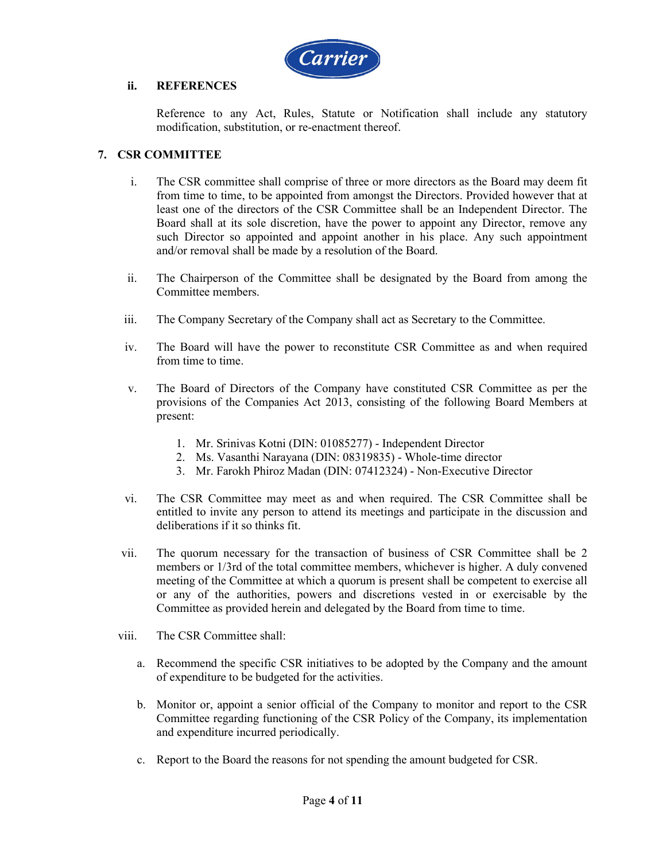

#### **ii. REFERENCES**

Reference to any Act, Rules, Statute or Notification shall include any statutory modification, substitution, or re-enactment thereof.

#### **7. CSR COMMITTEE**

- i. The CSR committee shall comprise of three or more directors as the Board may deem fit from time to time, to be appointed from amongst the Directors. Provided however that at least one of the directors of the CSR Committee shall be an Independent Director. The Board shall at its sole discretion, have the power to appoint any Director, remove any such Director so appointed and appoint another in his place. Any such appointment and/or removal shall be made by a resolution of the Board.
- ii. The Chairperson of the Committee shall be designated by the Board from among the Committee members.
- iii. The Company Secretary of the Company shall act as Secretary to the Committee.
- iv. The Board will have the power to reconstitute CSR Committee as and when required from time to time.
- v. The Board of Directors of the Company have constituted CSR Committee as per the provisions of the Companies Act 2013, consisting of the following Board Members at present:
	- 1. Mr. Srinivas Kotni (DIN: 01085277) Independent Director
	- 2. Ms. Vasanthi Narayana (DIN: 08319835) Whole-time director
	- 3. Mr. Farokh Phiroz Madan (DIN: 07412324) Non-Executive Director
- vi. The CSR Committee may meet as and when required. The CSR Committee shall be entitled to invite any person to attend its meetings and participate in the discussion and deliberations if it so thinks fit.
- vii. The quorum necessary for the transaction of business of CSR Committee shall be 2 members or 1/3rd of the total committee members, whichever is higher. A duly convened meeting of the Committee at which a quorum is present shall be competent to exercise all or any of the authorities, powers and discretions vested in or exercisable by the Committee as provided herein and delegated by the Board from time to time.
- viii. The CSR Committee shall:
	- a. Recommend the specific CSR initiatives to be adopted by the Company and the amount of expenditure to be budgeted for the activities.
	- b. Monitor or, appoint a senior official of the Company to monitor and report to the CSR Committee regarding functioning of the CSR Policy of the Company, its implementation and expenditure incurred periodically.
	- c. Report to the Board the reasons for not spending the amount budgeted for CSR.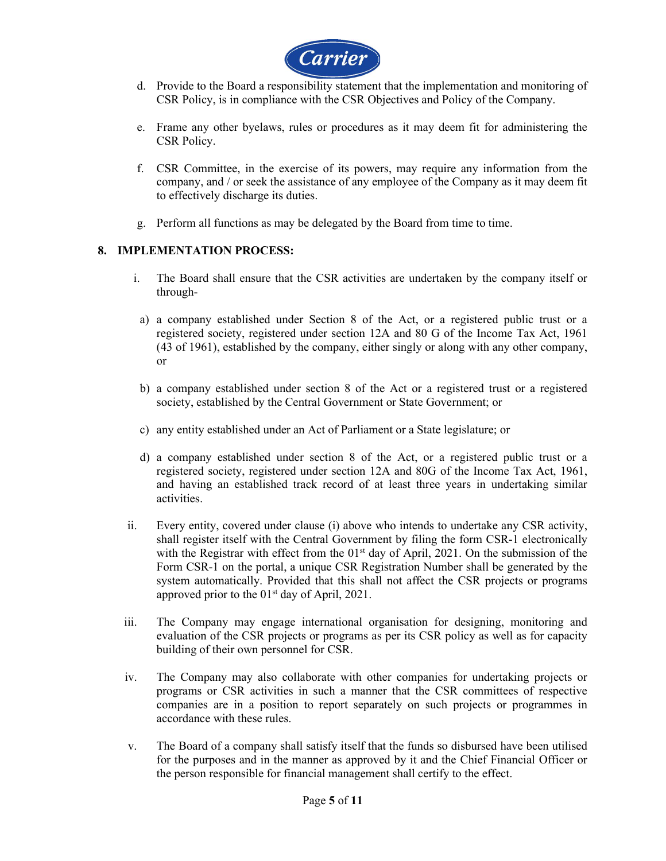

- d. Provide to the Board a responsibility statement that the implementation and monitoring of CSR Policy, is in compliance with the CSR Objectives and Policy of the Company.
- e. Frame any other byelaws, rules or procedures as it may deem fit for administering the CSR Policy.
- f. CSR Committee, in the exercise of its powers, may require any information from the company, and / or seek the assistance of any employee of the Company as it may deem fit to effectively discharge its duties.
- g. Perform all functions as may be delegated by the Board from time to time.

## **8. IMPLEMENTATION PROCESS:**

- i. The Board shall ensure that the CSR activities are undertaken by the company itself or through-
- a) a company established under Section 8 of the Act, or a registered public trust or a registered society, registered under section 12A and 80 G of the Income Tax Act, 1961 (43 of 1961), established by the company, either singly or along with any other company, or
- b) a company established under section 8 of the Act or a registered trust or a registered society, established by the Central Government or State Government; or
- c) any entity established under an Act of Parliament or a State legislature; or
- d) a company established under section 8 of the Act, or a registered public trust or a registered society, registered under section 12A and 80G of the Income Tax Act, 1961, and having an established track record of at least three years in undertaking similar activities.
- ii. Every entity, covered under clause (i) above who intends to undertake any CSR activity, shall register itself with the Central Government by filing the form CSR-1 electronically with the Registrar with effect from the  $01<sup>st</sup>$  day of April, 2021. On the submission of the Form CSR-1 on the portal, a unique CSR Registration Number shall be generated by the system automatically. Provided that this shall not affect the CSR projects or programs approved prior to the 01st day of April, 2021.
- iii. The Company may engage international organisation for designing, monitoring and evaluation of the CSR projects or programs as per its CSR policy as well as for capacity building of their own personnel for CSR.
- iv. The Company may also collaborate with other companies for undertaking projects or programs or CSR activities in such a manner that the CSR committees of respective companies are in a position to report separately on such projects or programmes in accordance with these rules.
- v. The Board of a company shall satisfy itself that the funds so disbursed have been utilised for the purposes and in the manner as approved by it and the Chief Financial Officer or the person responsible for financial management shall certify to the effect.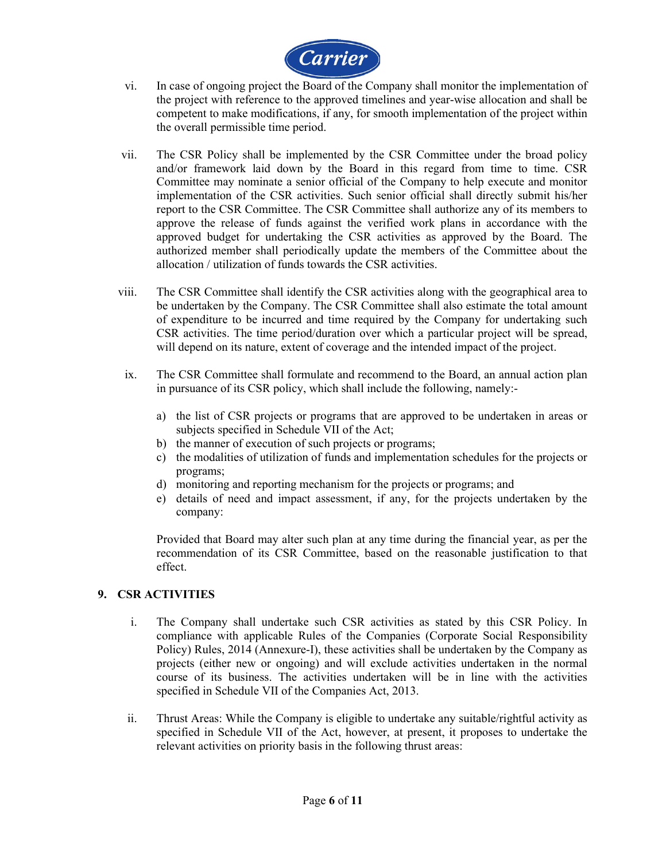

- vi. In case of ongoing project the Board of the Company shall monitor the implementation of the project with reference to the approved timelines and year-wise allocation and shall be competent to make modifications, if any, for smooth implementation of the project within the overall permissible time period.
- vii. The CSR Policy shall be implemented by the CSR Committee under the broad policy and/or framework laid down by the Board in this regard from time to time. CSR Committee may nominate a senior official of the Company to help execute and monitor implementation of the CSR activities. Such senior official shall directly submit his/her report to the CSR Committee. The CSR Committee shall authorize any of its members to approve the release of funds against the verified work plans in accordance with the approved budget for undertaking the CSR activities as approved by the Board. The authorized member shall periodically update the members of the Committee about the allocation / utilization of funds towards the CSR activities.
- viii. The CSR Committee shall identify the CSR activities along with the geographical area to be undertaken by the Company. The CSR Committee shall also estimate the total amount of expenditure to be incurred and time required by the Company for undertaking such CSR activities. The time period/duration over which a particular project will be spread, will depend on its nature, extent of coverage and the intended impact of the project.
- ix. The CSR Committee shall formulate and recommend to the Board, an annual action plan in pursuance of its CSR policy, which shall include the following, namely:
	- a) the list of CSR projects or programs that are approved to be undertaken in areas or subjects specified in Schedule VII of the Act;
	- b) the manner of execution of such projects or programs;
	- c) the modalities of utilization of funds and implementation schedules for the projects or programs;
	- d) monitoring and reporting mechanism for the projects or programs; and
	- e) details of need and impact assessment, if any, for the projects undertaken by the company:

Provided that Board may alter such plan at any time during the financial year, as per the recommendation of its CSR Committee, based on the reasonable justification to that effect.

## **9. CSR ACTIVITIES**

- i. The Company shall undertake such CSR activities as stated by this CSR Policy. In compliance with applicable Rules of the Companies (Corporate Social Responsibility Policy) Rules, 2014 (Annexure-I), these activities shall be undertaken by the Company as projects (either new or ongoing) and will exclude activities undertaken in the normal course of its business. The activities undertaken will be in line with the activities specified in Schedule VII of the Companies Act, 2013.
- ii. Thrust Areas: While the Company is eligible to undertake any suitable/rightful activity as specified in Schedule VII of the Act, however, at present, it proposes to undertake the relevant activities on priority basis in the following thrust areas: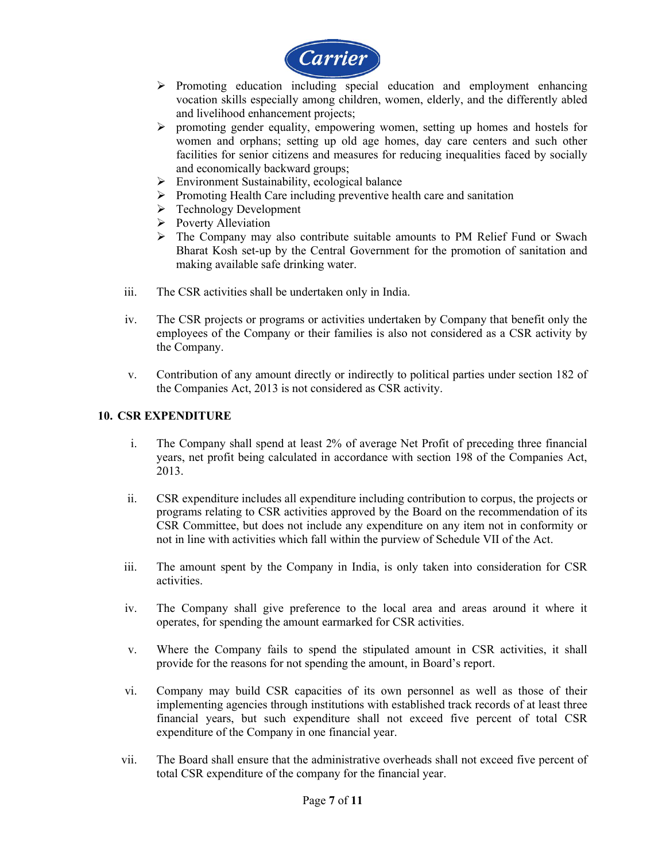

- $\triangleright$  Promoting education including special education and employment enhancing vocation skills especially among children, women, elderly, and the differently abled and livelihood enhancement projects;
- $\triangleright$  promoting gender equality, empowering women, setting up homes and hostels for women and orphans; setting up old age homes, day care centers and such other facilities for senior citizens and measures for reducing inequalities faced by socially and economically backward groups;
- $\triangleright$  Environment Sustainability, ecological balance
- $\triangleright$  Promoting Health Care including preventive health care and sanitation
- **F** Technology Development
- Poverty Alleviation
- The Company may also contribute suitable amounts to PM Relief Fund or Swach Bharat Kosh set-up by the Central Government for the promotion of sanitation and making available safe drinking water.
- iii. The CSR activities shall be undertaken only in India.
- iv. The CSR projects or programs or activities undertaken by Company that benefit only the employees of the Company or their families is also not considered as a CSR activity by the Company.
- v. Contribution of any amount directly or indirectly to political parties under section 182 of the Companies Act, 2013 is not considered as CSR activity.

# **10. CSR EXPENDITURE**

- i. The Company shall spend at least 2% of average Net Profit of preceding three financial years, net profit being calculated in accordance with section 198 of the Companies Act, 2013.
- ii. CSR expenditure includes all expenditure including contribution to corpus, the projects or programs relating to CSR activities approved by the Board on the recommendation of its CSR Committee, but does not include any expenditure on any item not in conformity or not in line with activities which fall within the purview of Schedule VII of the Act.
- iii. The amount spent by the Company in India, is only taken into consideration for CSR activities.
- iv. The Company shall give preference to the local area and areas around it where it operates, for spending the amount earmarked for CSR activities.
- v. Where the Company fails to spend the stipulated amount in CSR activities, it shall provide for the reasons for not spending the amount, in Board's report.
- vi. Company may build CSR capacities of its own personnel as well as those of their implementing agencies through institutions with established track records of at least three financial years, but such expenditure shall not exceed five percent of total CSR expenditure of the Company in one financial year.
- vii. The Board shall ensure that the administrative overheads shall not exceed five percent of total CSR expenditure of the company for the financial year.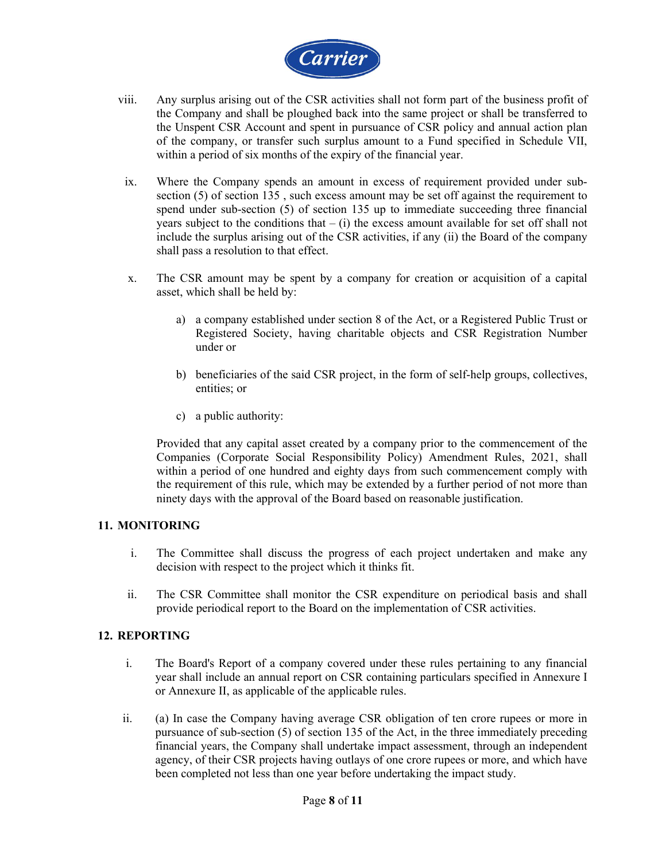

- viii. Any surplus arising out of the CSR activities shall not form part of the business profit of the Company and shall be ploughed back into the same project or shall be transferred to the Unspent CSR Account and spent in pursuance of CSR policy and annual action plan of the company, or transfer such surplus amount to a Fund specified in Schedule VII, within a period of six months of the expiry of the financial year.
- ix. Where the Company spends an amount in excess of requirement provided under subsection (5) of section 135 , such excess amount may be set off against the requirement to spend under sub-section (5) of section 135 up to immediate succeeding three financial years subject to the conditions that  $-$  (i) the excess amount available for set off shall not include the surplus arising out of the CSR activities, if any (ii) the Board of the company shall pass a resolution to that effect.
- x. The CSR amount may be spent by a company for creation or acquisition of a capital asset, which shall be held by:
	- a) a company established under section 8 of the Act, or a Registered Public Trust or Registered Society, having charitable objects and CSR Registration Number under or
	- b) beneficiaries of the said CSR project, in the form of self-help groups, collectives, entities; or
	- c) a public authority:

Provided that any capital asset created by a company prior to the commencement of the Companies (Corporate Social Responsibility Policy) Amendment Rules, 2021, shall within a period of one hundred and eighty days from such commencement comply with the requirement of this rule, which may be extended by a further period of not more than ninety days with the approval of the Board based on reasonable justification.

## **11. MONITORING**

- i. The Committee shall discuss the progress of each project undertaken and make any decision with respect to the project which it thinks fit.
- ii. The CSR Committee shall monitor the CSR expenditure on periodical basis and shall provide periodical report to the Board on the implementation of CSR activities.

### **12. REPORTING**

- i. The Board's Report of a company covered under these rules pertaining to any financial year shall include an annual report on CSR containing particulars specified in Annexure I or Annexure II, as applicable of the applicable rules.
- ii. (a) In case the Company having average CSR obligation of ten crore rupees or more in pursuance of sub-section (5) of section 135 of the Act, in the three immediately preceding financial years, the Company shall undertake impact assessment, through an independent agency, of their CSR projects having outlays of one crore rupees or more, and which have been completed not less than one year before undertaking the impact study.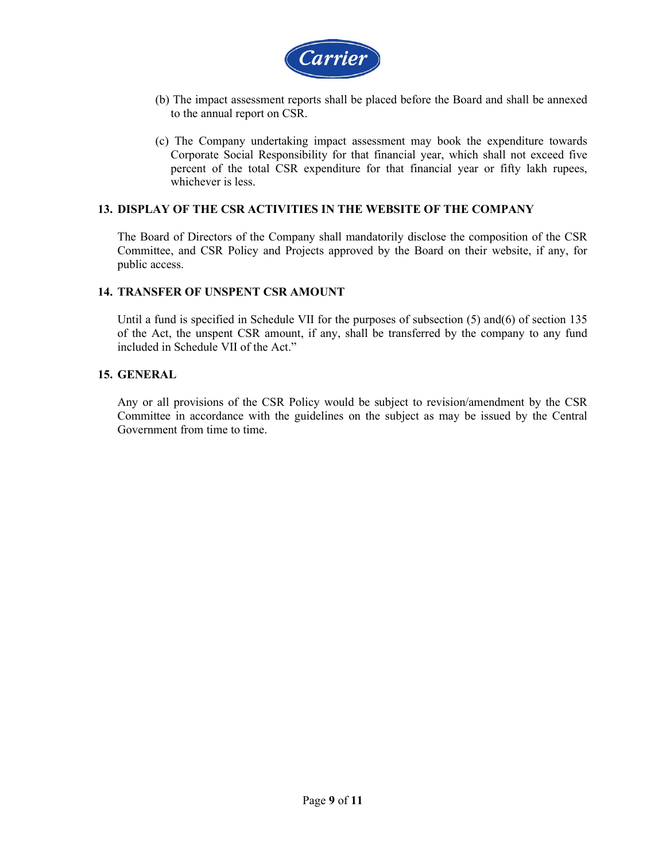

- (b) The impact assessment reports shall be placed before the Board and shall be annexed to the annual report on CSR.
- (c) The Company undertaking impact assessment may book the expenditure towards Corporate Social Responsibility for that financial year, which shall not exceed five percent of the total CSR expenditure for that financial year or fifty lakh rupees, whichever is less.

### **13. DISPLAY OF THE CSR ACTIVITIES IN THE WEBSITE OF THE COMPANY**

The Board of Directors of the Company shall mandatorily disclose the composition of the CSR Committee, and CSR Policy and Projects approved by the Board on their website, if any, for public access.

#### **14. TRANSFER OF UNSPENT CSR AMOUNT**

Until a fund is specified in Schedule VII for the purposes of subsection  $(5)$  and $(6)$  of section 135 of the Act, the unspent CSR amount, if any, shall be transferred by the company to any fund included in Schedule VII of the Act."

#### **15. GENERAL**

Any or all provisions of the CSR Policy would be subject to revision/amendment by the CSR Committee in accordance with the guidelines on the subject as may be issued by the Central Government from time to time.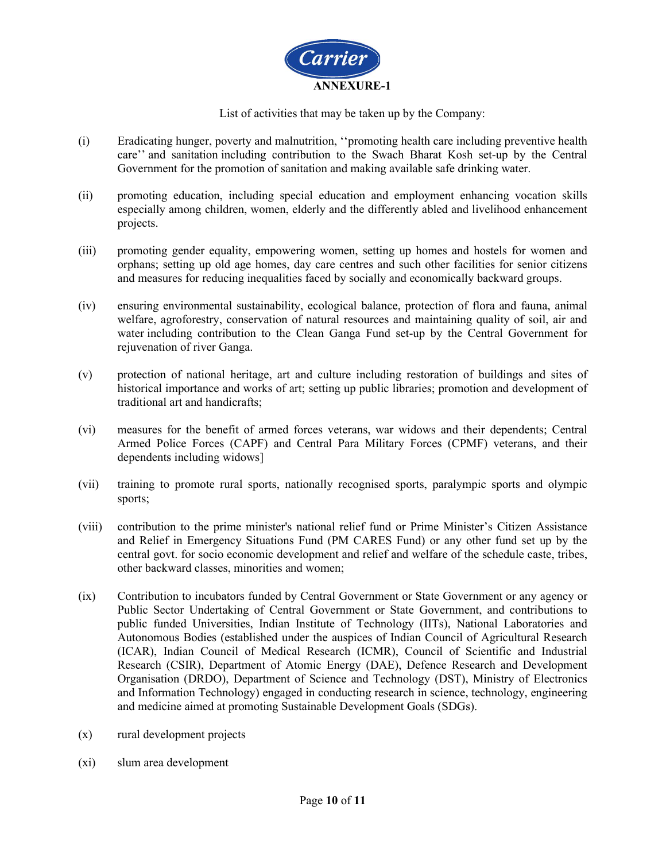

List of activities that may be taken up by the Company:

- (i) Eradicating hunger, poverty and malnutrition, ''promoting health care including preventive health care'' and sanitation including contribution to the Swach Bharat Kosh set-up by the Central Government for the promotion of sanitation and making available safe drinking water.
- (ii) promoting education, including special education and employment enhancing vocation skills especially among children, women, elderly and the differently abled and livelihood enhancement projects.
- (iii) promoting gender equality, empowering women, setting up homes and hostels for women and orphans; setting up old age homes, day care centres and such other facilities for senior citizens and measures for reducing inequalities faced by socially and economically backward groups.
- (iv) ensuring environmental sustainability, ecological balance, protection of flora and fauna, animal welfare, agroforestry, conservation of natural resources and maintaining quality of soil, air and water including contribution to the Clean Ganga Fund set-up by the Central Government for rejuvenation of river Ganga.
- (v) protection of national heritage, art and culture including restoration of buildings and sites of historical importance and works of art; setting up public libraries; promotion and development of traditional art and handicrafts;
- (vi) measures for the benefit of armed forces veterans, war widows and their dependents; Central Armed Police Forces (CAPF) and Central Para Military Forces (CPMF) veterans, and their dependents including widows]
- (vii) training to promote rural sports, nationally recognised sports, paralympic sports and olympic sports;
- (viii) contribution to the prime minister's national relief fund or Prime Minister's Citizen Assistance and Relief in Emergency Situations Fund (PM CARES Fund) or any other fund set up by the central govt. for socio economic development and relief and welfare of the schedule caste, tribes, other backward classes, minorities and women;
- (ix) Contribution to incubators funded by Central Government or State Government or any agency or Public Sector Undertaking of Central Government or State Government, and contributions to public funded Universities, Indian Institute of Technology (IITs), National Laboratories and Autonomous Bodies (established under the auspices of Indian Council of Agricultural Research (ICAR), Indian Council of Medical Research (ICMR), Council of Scientific and Industrial Research (CSIR), Department of Atomic Energy (DAE), Defence Research and Development Organisation (DRDO), Department of Science and Technology (DST), Ministry of Electronics and Information Technology) engaged in conducting research in science, technology, engineering and medicine aimed at promoting Sustainable Development Goals (SDGs).
- (x) rural development projects
- (xi) slum area development